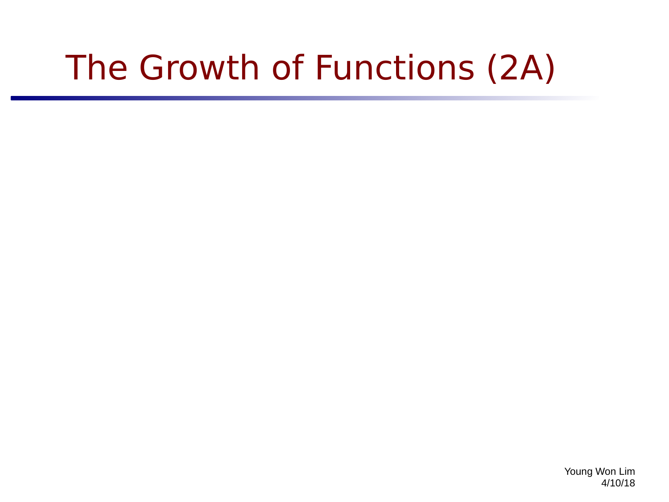# The Growth of Functions (2A)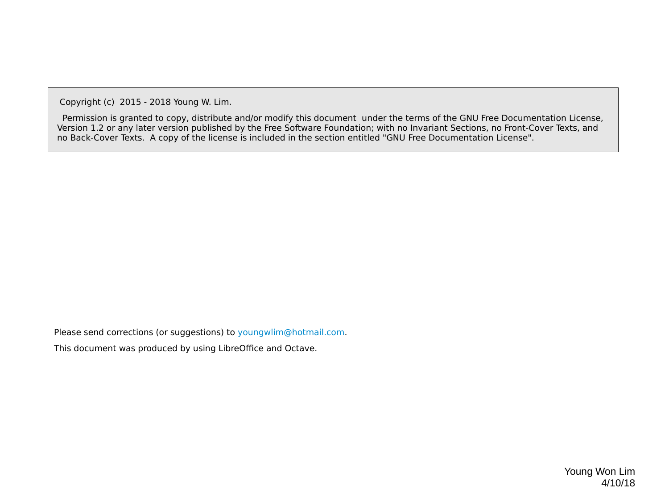Copyright (c) 2015 - 2018 Young W. Lim.

 Permission is granted to copy, distribute and/or modify this document under the terms of the GNU Free Documentation License, Version 1.2 or any later version published by the Free Software Foundation; with no Invariant Sections, no Front-Cover Texts, and no Back-Cover Texts. A copy of the license is included in the section entitled "GNU Free Documentation License".

Please send corrections (or suggestions) to [youngwlim@hotmail.com](mailto:youngwlim@hotmail.com).

This document was produced by using LibreOffice and Octave.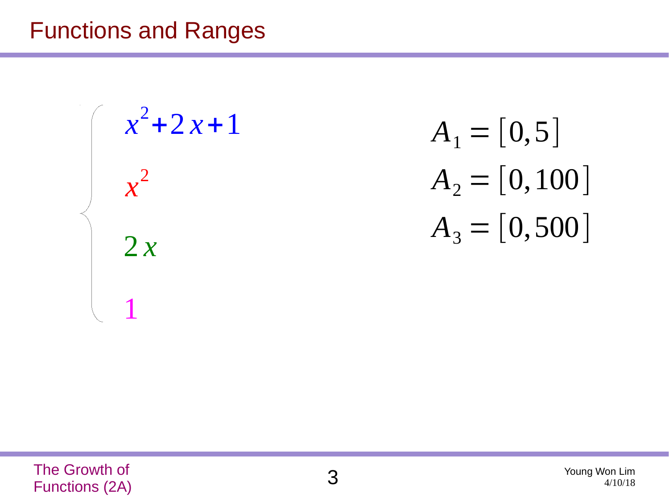#### Functions and Ranges

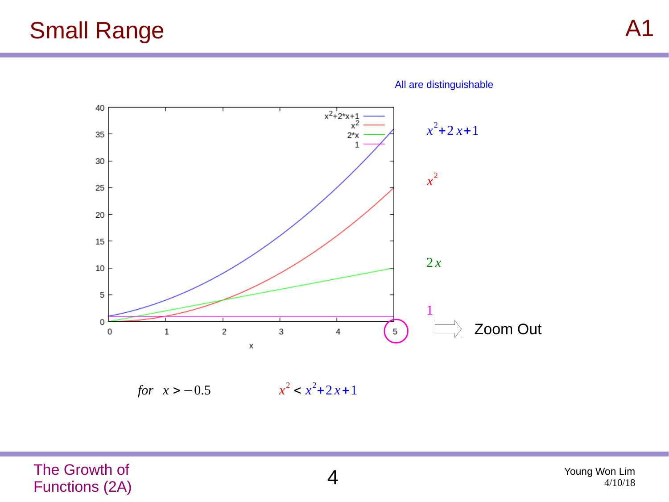

All are distinguishable

*for*  $x > -0.5$  $x^2$  <  $x^2$  + 2  $x$  + 1

The Growth of Functions (2A) 4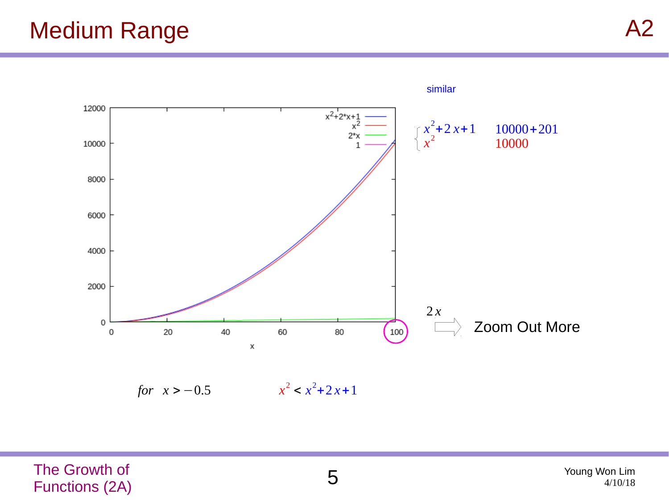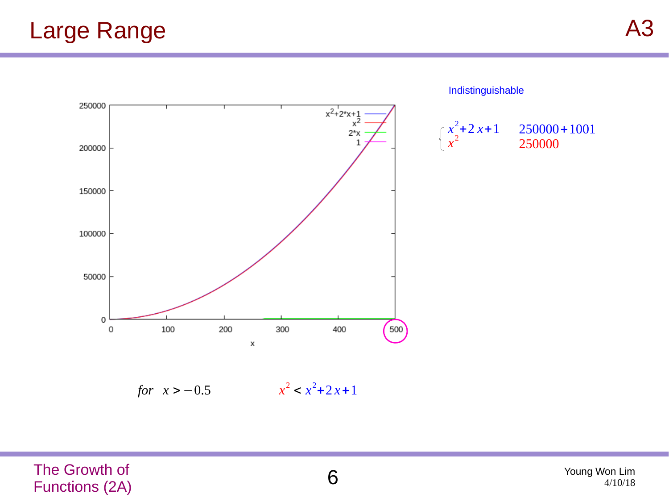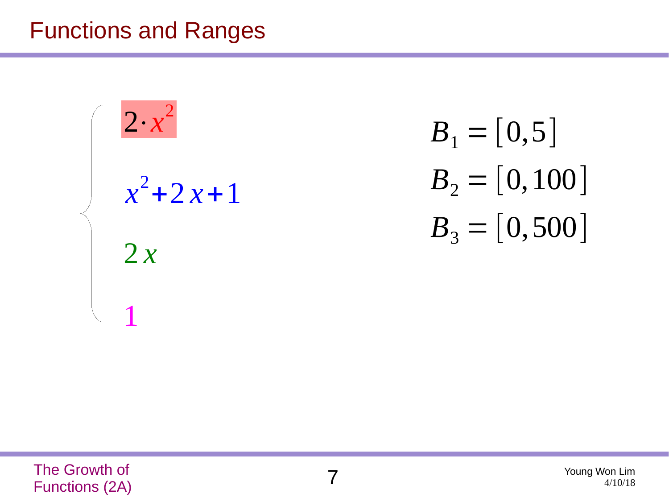#### Functions and Ranges

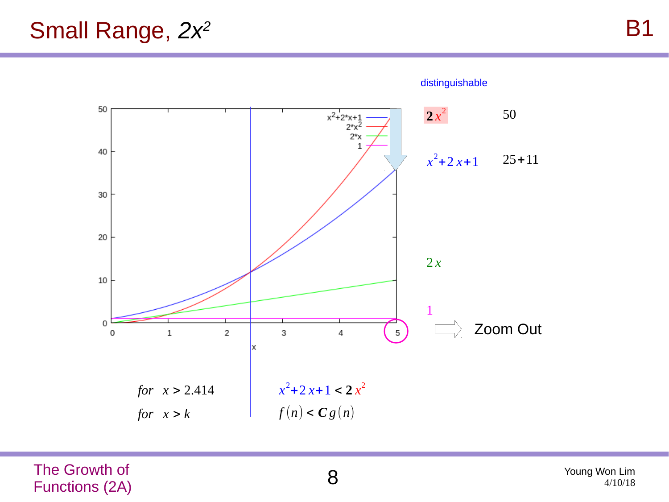#### Small Range, *2x<sup>2</sup>*



The Growth of The Growth of **8**<br>Functions (2A)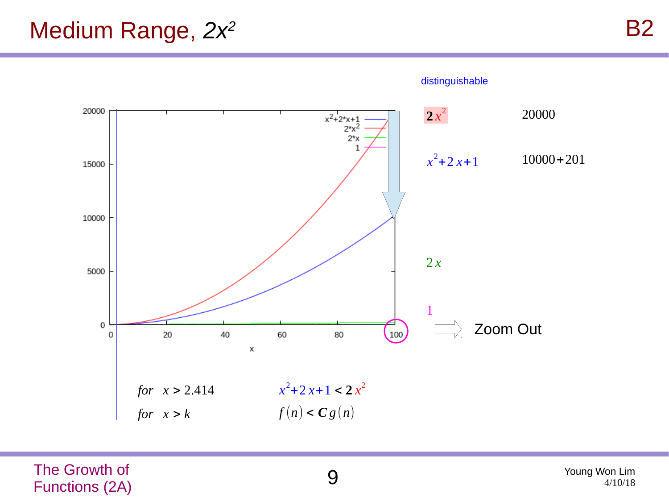#### Medium Range, *2x<sup>2</sup>*

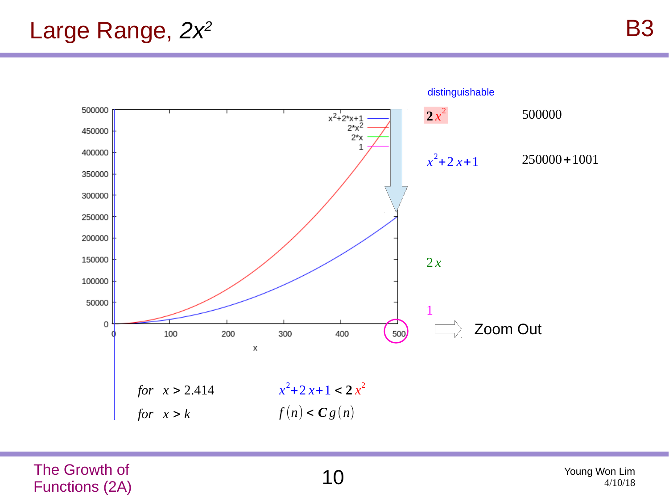#### Large Range, *2x<sup>2</sup>*

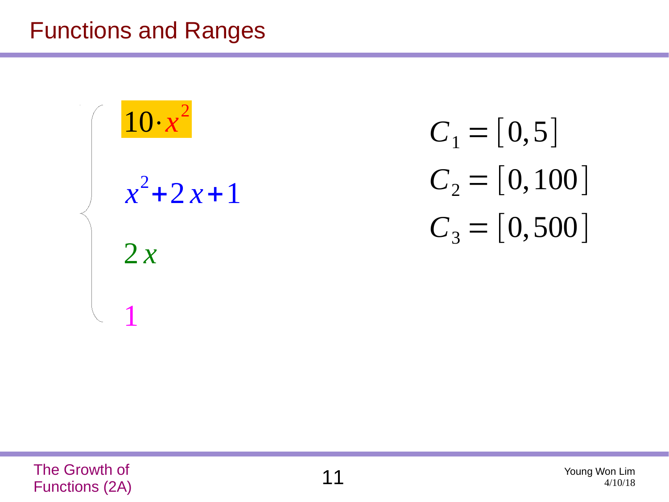#### Functions and Ranges

![](_page_10_Figure_1.jpeg)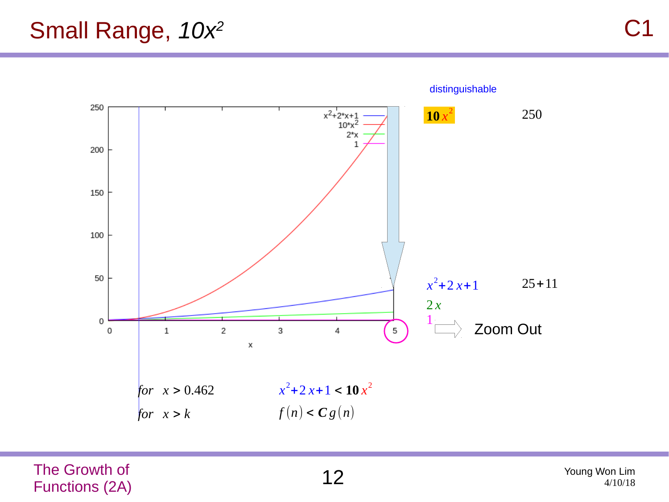#### Small Range, *10x<sup>2</sup>*

![](_page_11_Figure_2.jpeg)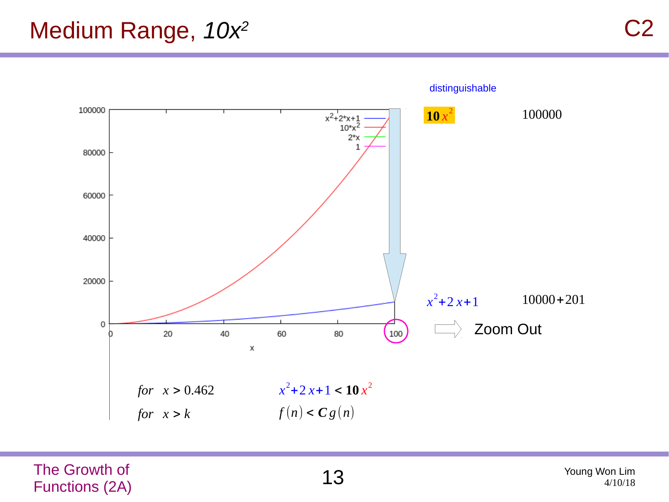#### Medium Range, *10x<sup>2</sup>*

![](_page_12_Figure_2.jpeg)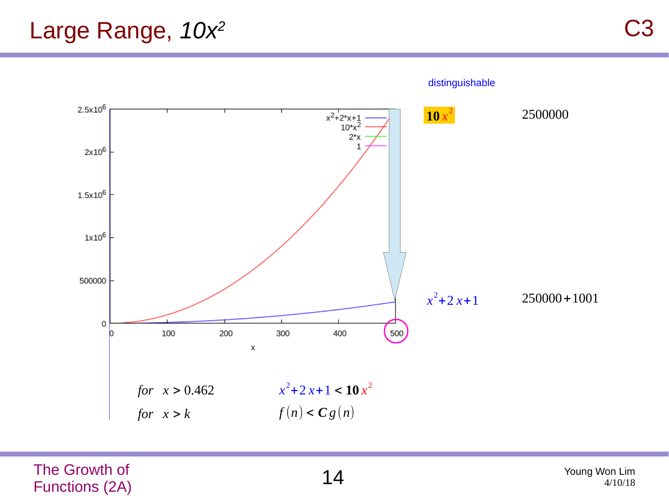![](_page_13_Figure_2.jpeg)

The Growth of The Growth of  $14$  Young Won Lim  $14$  Young Won Lim  $14$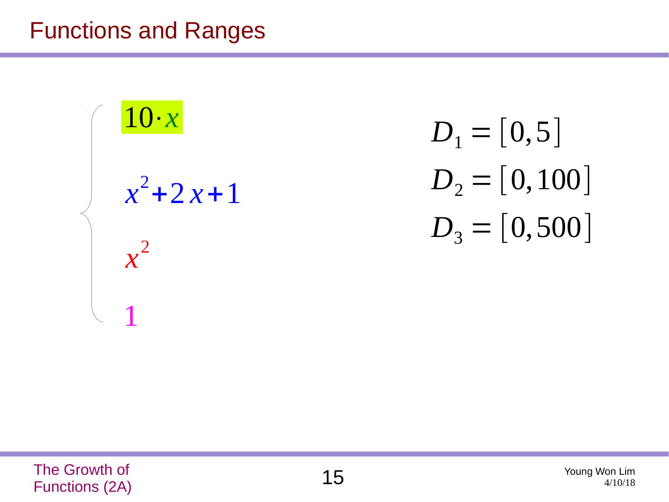#### Functions and Ranges

![](_page_14_Figure_1.jpeg)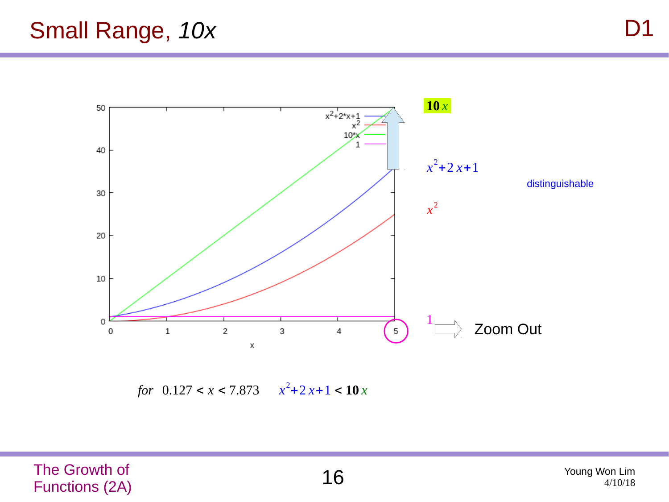#### Small Range, *10x*

![](_page_15_Figure_2.jpeg)

*for*  $0.127 < x < 7.873$   $x^2 + 2x + 1 < 10x$ 

The Growth of The Growth of  $16$  Young Won Lim Young Won Lim  $16$  Young Won Lim  $^{4/10/18}$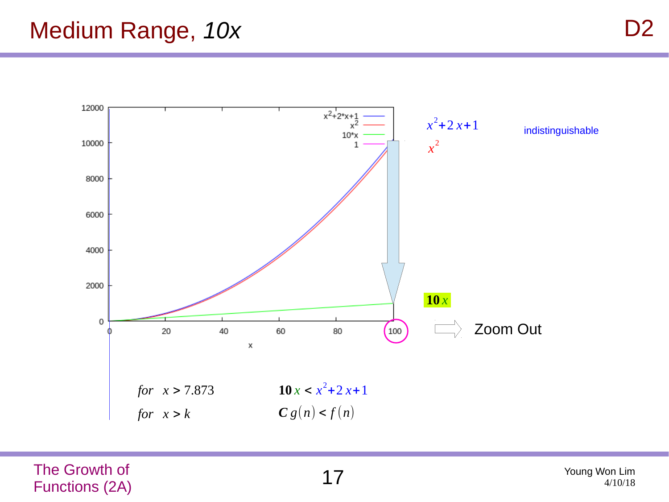#### Medium Range, *10x*

![](_page_16_Figure_2.jpeg)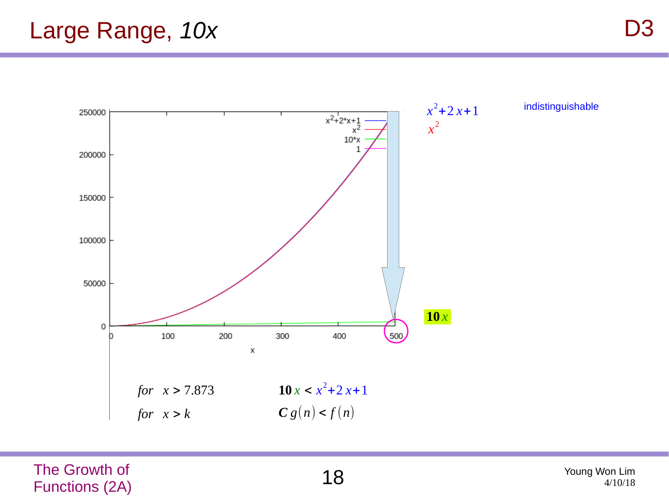![](_page_17_Figure_2.jpeg)

The Growth of The Growth of  $18$  Young Won Lim  $18$  Young Won Lim  $_{4/10/18}$ 

4/10/18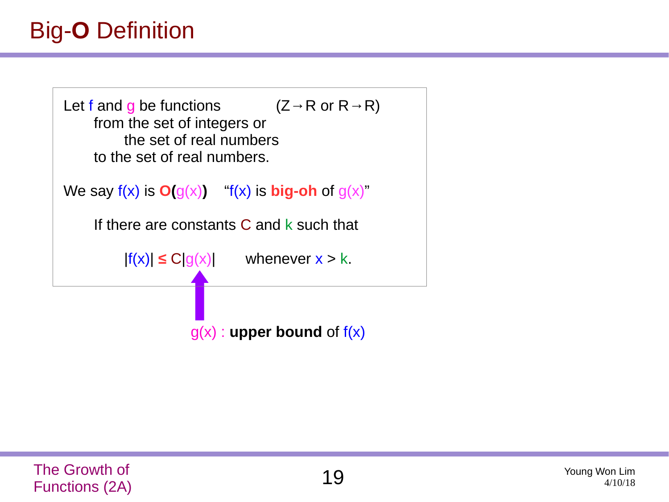## Big-**O** Definition

![](_page_18_Figure_1.jpeg)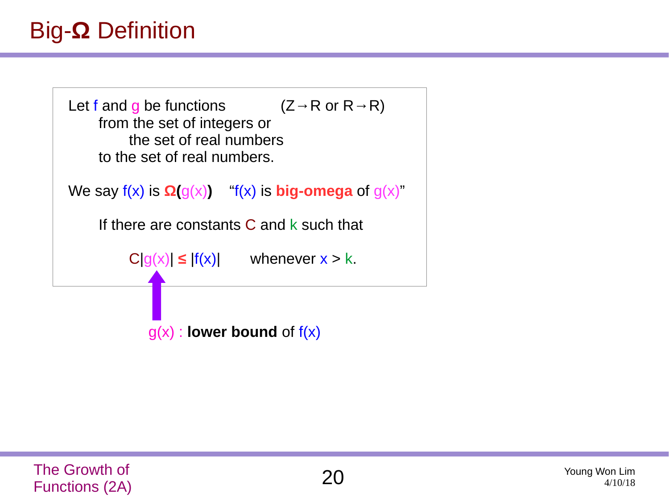### Big-**Ω** Definition

![](_page_19_Figure_1.jpeg)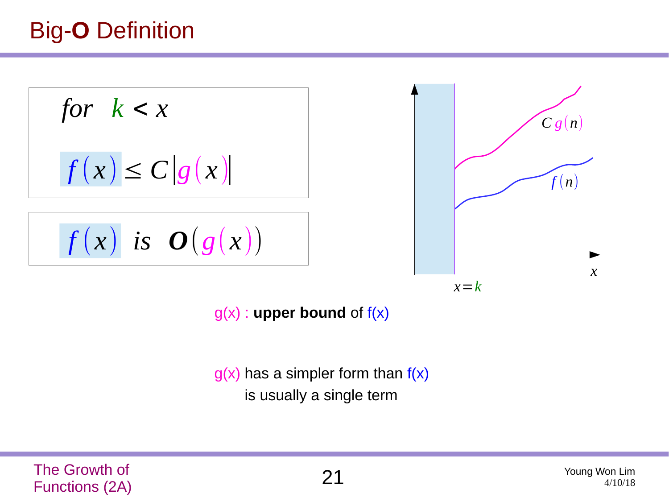## Big-**O** Definition

![](_page_20_Figure_1.jpeg)

g(x) : **upper bound** of f(x)

 $g(x)$  has a simpler form than  $f(x)$ is usually a single term

The Growth of Functions (2A) 21 Young Won Lim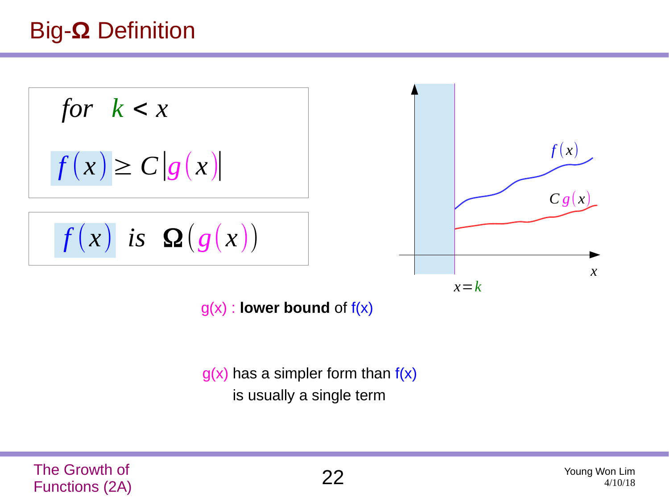### Big-**Ω** Definition

$$
for k < x
$$
\n
$$
f(x) \ge C|g(x)|
$$
\n
$$
f(x) \text{ is } \Omega(g(x))
$$
\n
$$
x=k
$$

g(x) : **lower bound** of f(x)

 $g(x)$  has a simpler form than  $f(x)$ is usually a single term

The Growth of Functions (2A) 22 Young Won Lim

*x*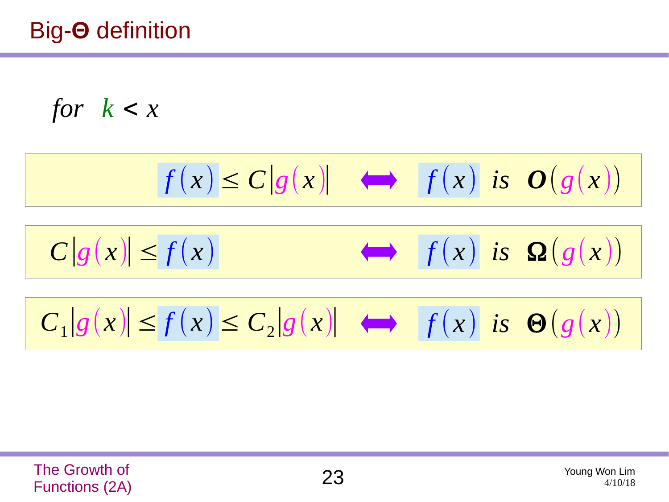for 
$$
k < x
$$

$$
f(x) \le C|g(x)| \iff f(x) \text{ is } O(g(x))
$$
  

$$
C|g(x)| \le f(x) \iff f(x) \text{ is } Q(g(x))
$$
  

$$
C_1|g(x)| \le f(x) \le C_2|g(x)| \iff f(x) \text{ is } \Theta(g(x))
$$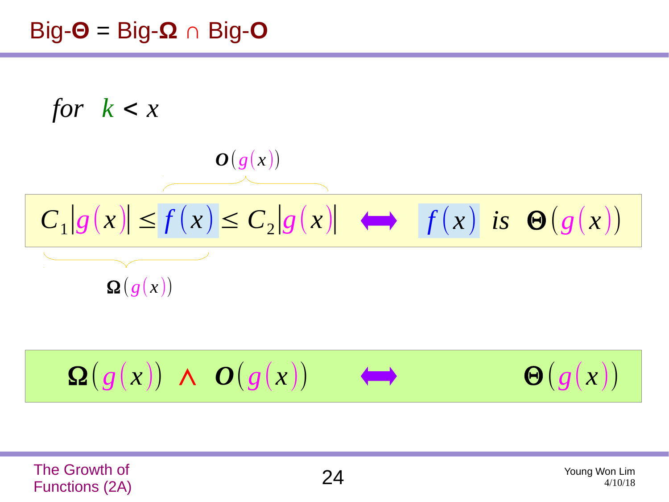#### Big-**Θ** = Big-**Ω** ∩ Big-**O**

![](_page_23_Figure_1.jpeg)

$$
\sum_{i=1}^{n} \sum_{j=1}^{n} \left( \sum_{j=1}^{n} \left( \sum_{j=1}^{n} \left( \sum_{j=1}^{n} \left( \sum_{j=1}^{n} \left( \sum_{j=1}^{n} \left( \sum_{j=1}^{n} \left( \sum_{j=1}^{n} \left( \sum_{j=1}^{n} \left( \sum_{j=1}^{n} \left( \sum_{j=1}^{n} \left( \sum_{j=1}^{n} \left( \sum_{j=1}^{n} \left( \sum_{j=1}^{n} \left( \sum_{j=1}^{n} \left( \sum_{j=1}^{n} \left( \sum_{j=1}^{n} \left( \sum_{j=1}^{n} \left( \sum_{j=1}^{n} \left( \sum_{j=1}^{n} \left( \sum_{j=1}^{n} \left( \sum_{j=1}^{n} \left( \sum_{j=1}^{n} \left( \sum_{j=1}^{n} \left( \sum_{j=1}^{n} \left( \sum_{j=1}^{n} \left( \sum_{j=1}^{n} \left( \sum_{j=1}^{n} \left( \sum_{j=1}^{n} \left( \sum_{j=1}^{n} \left( \sum_{j=1}^{n} \left( \sum_{j=1}^{n} \left( \sum_{j=1}^{n} \left( \sum_{j=1}^{n} \left( \sum_{j=1}^{n} \left( \sum_{j=1}^{n} \left( \sum_{j=1}^{n} \left( \sum_{j=1}^{n} \left( \sum_{j=1}^{n} \left( \sum_{j=1}^{n} \right) \right) \right) \right) \right) \right) \right) \right) \right) \right) \right) \right) \left( \sum_{j=1}^{n} \sum_{j=1}^{n} \left( \sum_{j=1}^{n} \left( \sum_{j=1}^{n} \left( \sum_{j=1}^{n} \left( \sum_{j=1}^{n} \left( \sum_{j=1}^{n} \left( \sum_{j=1}^{n} \left( \sum_{j=1}^{n} \left( \sum_{j=1}^{n} \left( \sum_{j=1}^{n} \left( \sum_{j=1}^{n} \left( \sum_{j=1}^{n} \left( \sum_{j=1}^{n} \left( \sum_{j=1}^{n} \left( \sum
$$

The Growth of The Growth of  $24$  Young Won Lim  $24$  Young Won Lim  $^{4/10/18}$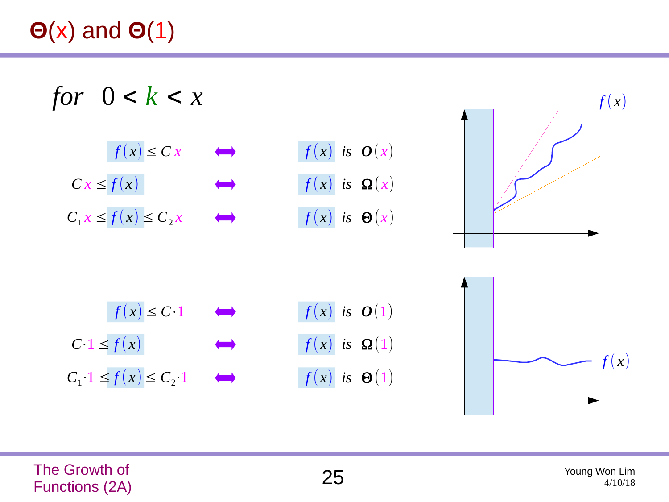# **Θ**(x) and **Θ**(1)

*for*  $0 < k < x$ 

![](_page_24_Figure_2.jpeg)

![](_page_24_Figure_3.jpeg)

![](_page_24_Figure_4.jpeg)

![](_page_24_Picture_5.jpeg)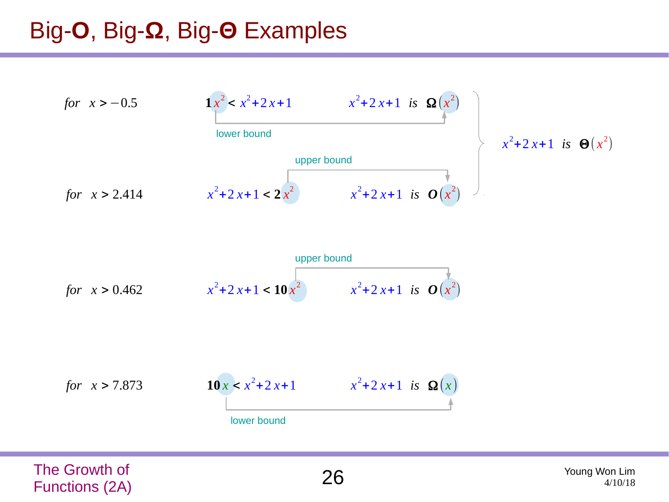### Big-**O**, Big-**Ω**, Big-**Θ** Examples

![](_page_25_Figure_1.jpeg)

![](_page_25_Figure_2.jpeg)

![](_page_25_Figure_3.jpeg)

The Growth of Functions (2A) 26 Young Won Lim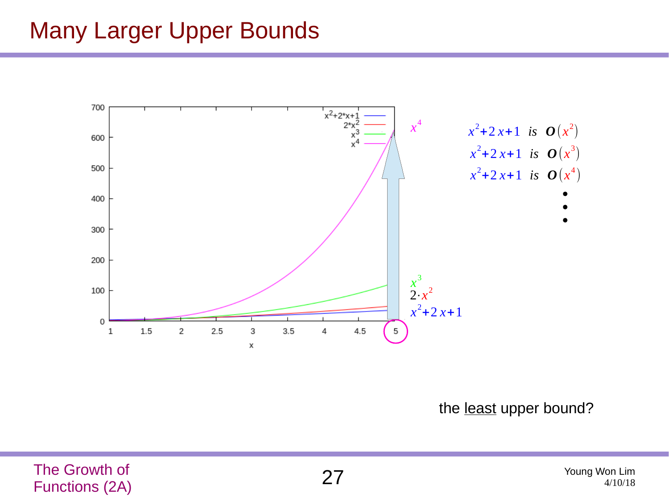#### Many Larger Upper Bounds

![](_page_26_Figure_1.jpeg)

the least upper bound?

The Growth of The Growth of  $27$  Young Won Lim  $27$  Young Won Lim  $^{4/10/18}$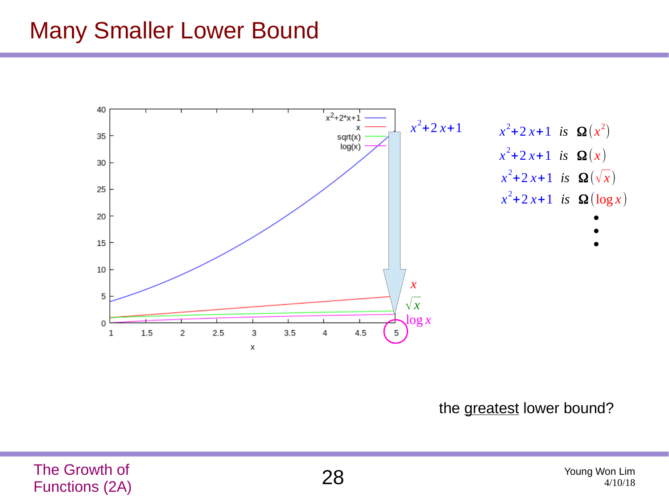#### Many Smaller Lower Bound

![](_page_27_Figure_1.jpeg)

the greatest lower bound?

The Growth of The Growth of  $28$  Young Won Lim  $28$  Young Won Lim  $^{4/10/18}$ 

![](_page_27_Picture_4.jpeg)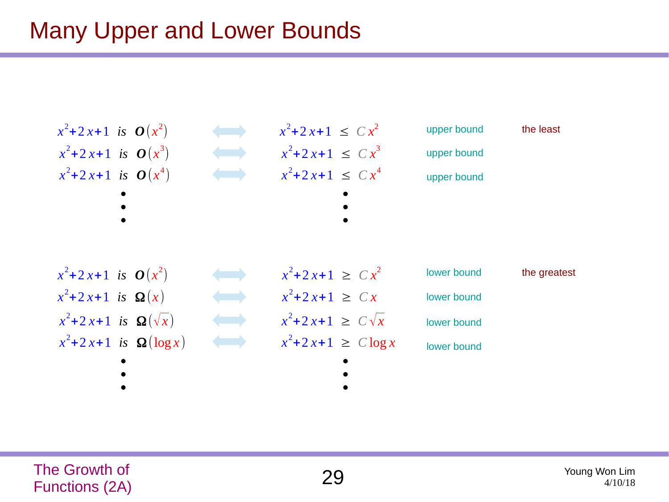### Many Upper and Lower Bounds

![](_page_28_Figure_1.jpeg)

![](_page_28_Picture_3.jpeg)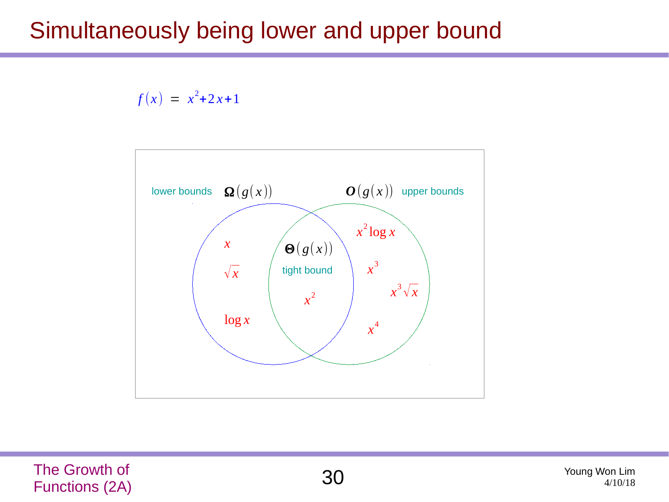#### Simultaneously being lower and upper bound

#### $f(x) = x^2 + 2x + 1$

![](_page_29_Figure_2.jpeg)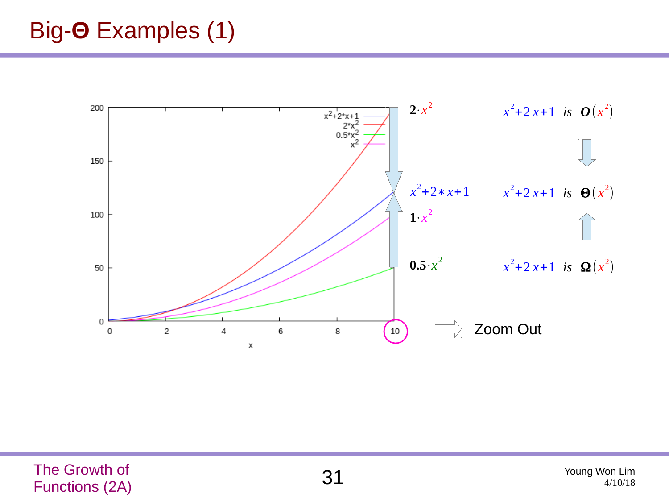### Big-**Θ** Examples (1)

![](_page_30_Figure_1.jpeg)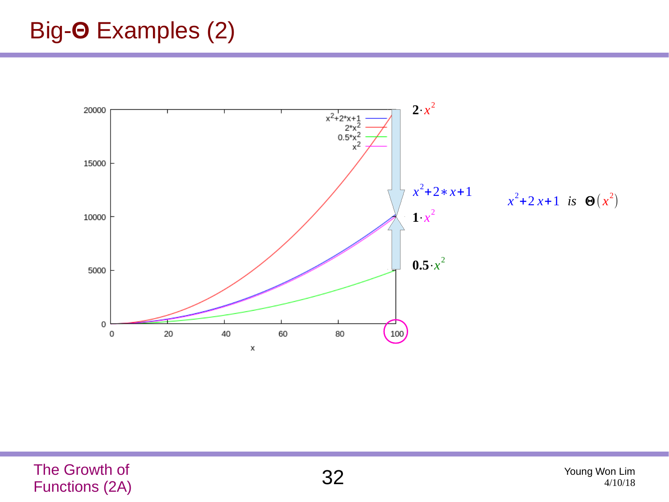### Big-**Θ** Examples (2)

![](_page_31_Figure_1.jpeg)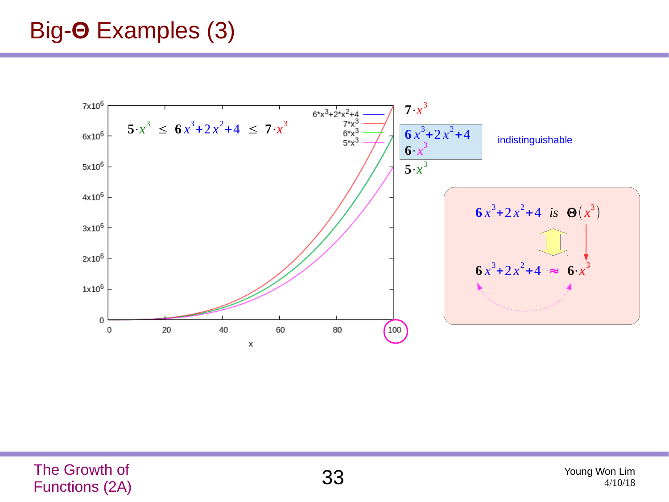### Big-**Θ** Examples (3)

![](_page_32_Figure_1.jpeg)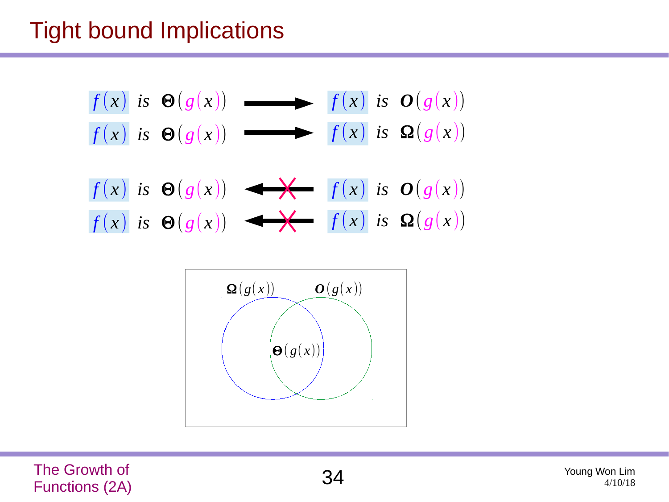### Tight bound Implications

| $f(x)$ is $\Theta(g(x))$ | $f(x)$ is $\Theta(g(x))$ |
|--------------------------|--------------------------|
| $f(x)$ is $\Theta(g(x))$ | $f(x)$ is $\Omega(g(x))$ |
| $f(x)$ is $\Theta(g(x))$ | $f(x)$ is $\Theta(g(x))$ |
| $f(x)$ is $\Theta(g(x))$ | $f(x)$ is $\Omega(g(x))$ |

![](_page_33_Figure_2.jpeg)

The Growth of The Growth of  $34$  Young Won Lim  $34$  Young Won Lim  $^{34/10/18}$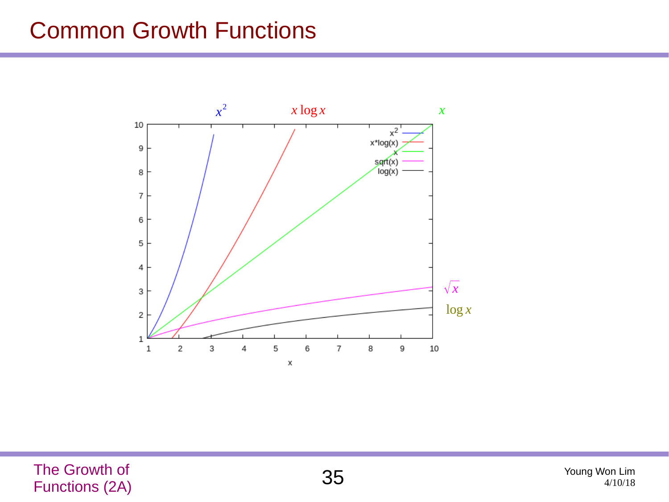#### Common Growth Functions

![](_page_34_Figure_1.jpeg)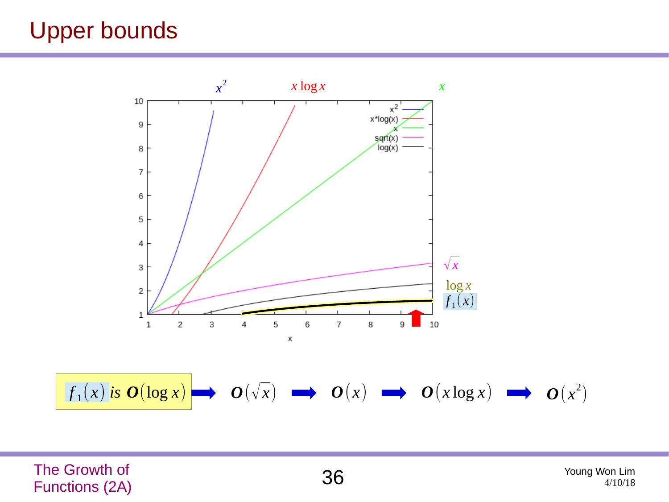### Upper bounds

![](_page_35_Figure_1.jpeg)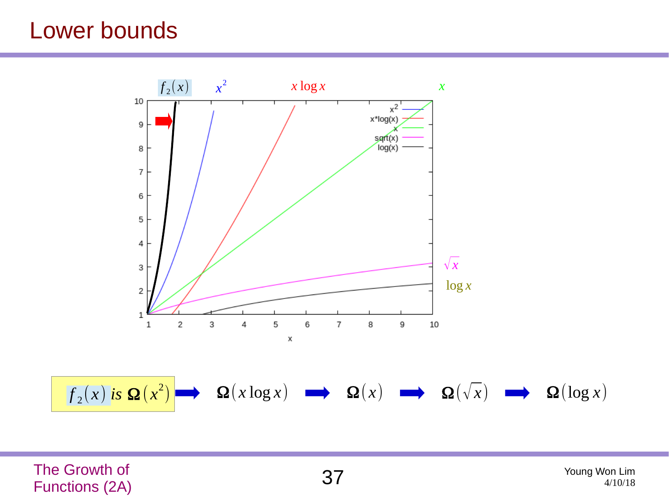#### Lower bounds

![](_page_36_Figure_1.jpeg)

The Growth of The Growth of  $37$  Young Won Lim  $37$  Young Won Lim  $^{4/10/18}$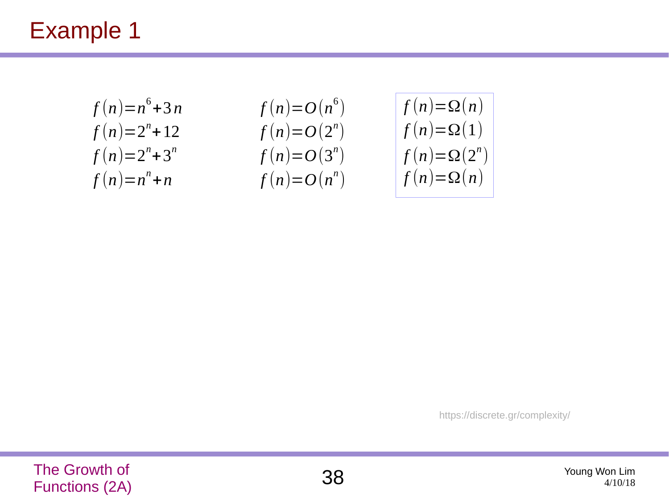$$
f(n)=n6+3n
$$
  
f(n)=2<sup>n</sup>+12  
f(n)=2<sup>n</sup>+3<sup>n</sup>  
f(n)=n<sup>n</sup>+n

$$
f(n)=O(n^{6})
$$
  
\n
$$
f(n)=O(2^{n})
$$
  
\n
$$
f(n)=O(3^{n})
$$
  
\n
$$
f(n)=O(n^{n})
$$

$$
f(n)=\Omega(n)
$$
  
f(n)=\Omega(1)  
f(n)=\Omega(2<sup>n</sup>)  
f(n)=\Omega(n)

https://discrete.gr/complexity/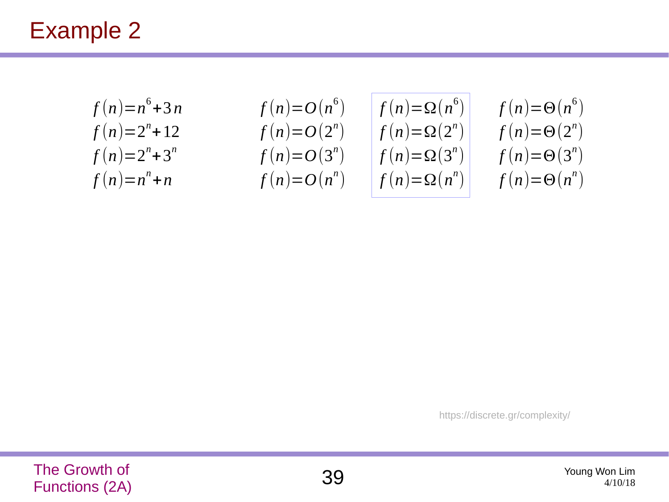| $f(n)=n^{6}+3n$    | $f(n)=O(n^{6})$ | $f(n)=\Omega(n^{6})$ | $f(n)=\Theta(n^{6})$ |
|--------------------|-----------------|----------------------|----------------------|
| $f(n)=2^{n}+12$    | $f(n)=O(2^{n})$ | $f(n)=\Omega(2^{n})$ | $f(n)=\Theta(2^{n})$ |
| $f(n)=2^{n}+3^{n}$ | $f(n)=O(3^{n})$ | $f(n)=\Omega(3^{n})$ | $f(n)=\Theta(3^{n})$ |
| $f(n)=n^{n}+n$     | $f(n)=O(n^{n})$ | $f(n)=\Omega(n^{n})$ | $f(n)=\Theta(n^{n})$ |

https://discrete.gr/complexity/

![](_page_38_Picture_4.jpeg)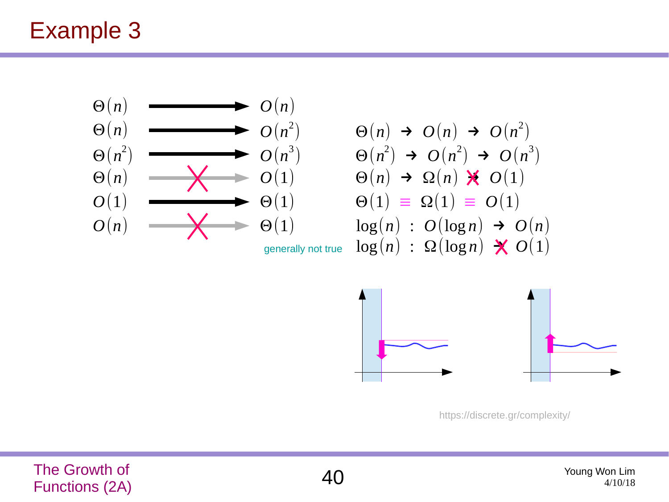![](_page_39_Figure_1.jpeg)

https://discrete.gr/complexity/

The Growth of The Growth of  $40^{4/10/18}$   $40^{4/10/18}$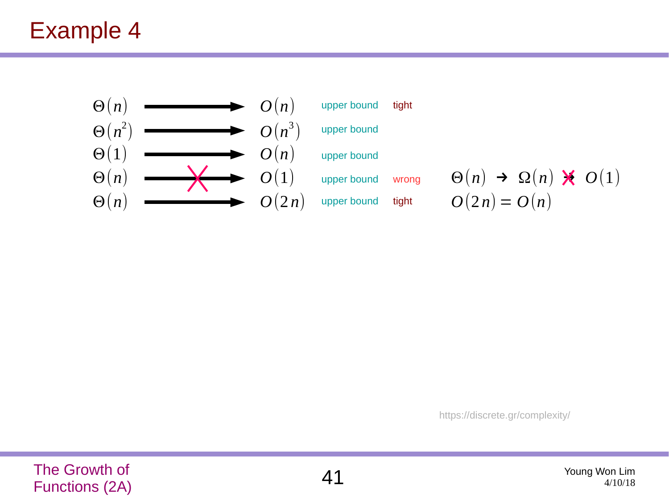![](_page_40_Figure_1.jpeg)

https://discrete.gr/complexity/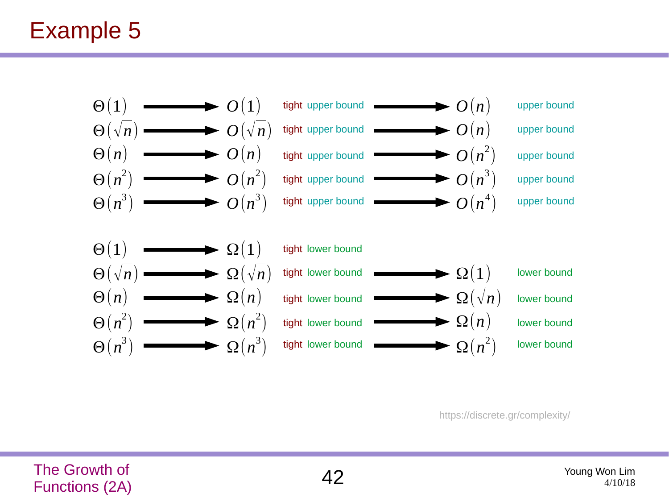![](_page_41_Figure_1.jpeg)

https://discrete.gr/complexity/

The Growth of The Growth of  $42$  Young Won Lim  $42$  Young Won Lim  $^{4/10/18}$ 

![](_page_41_Picture_4.jpeg)

4/10/18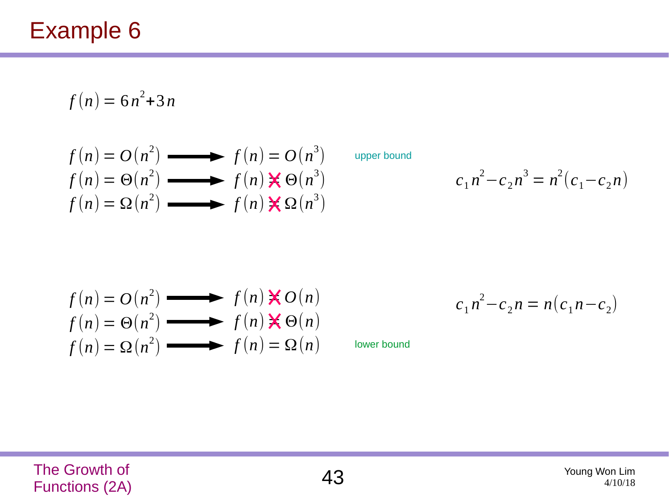$$
f(n) = 6n^2 + 3n
$$

$$
f(n) = O(n2) \longrightarrow f(n) = O(n3)
$$
  
\n
$$
f(n) = \Theta(n2) \longrightarrow f(n) \times \Theta(n3)
$$
  
\n
$$
f(n) = \Omega(n2) \longrightarrow f(n) \times \Omega(n3)
$$

upper bound

$$
c_1 n^2 - c_2 n^3 = n^2 (c_1 - c_2 n)
$$

$$
f(n) = O(n2) \longrightarrow f(n) \times O(n)
$$
  
f(n) =  $\Theta(n2) \longrightarrow f(n) \times O(n)$   
f(n) =  $\Omega(n2) \longrightarrow f(n) = \Omega(n)$ 

 $c_1 n^2 - c_2 n = n(c_1 n - c_2)$ 

lower bound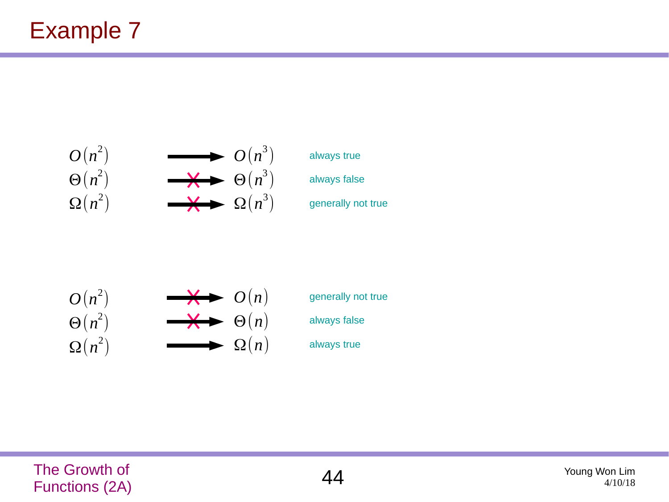![](_page_43_Figure_1.jpeg)

![](_page_43_Figure_2.jpeg)

generally not true always false always true

![](_page_43_Picture_4.jpeg)